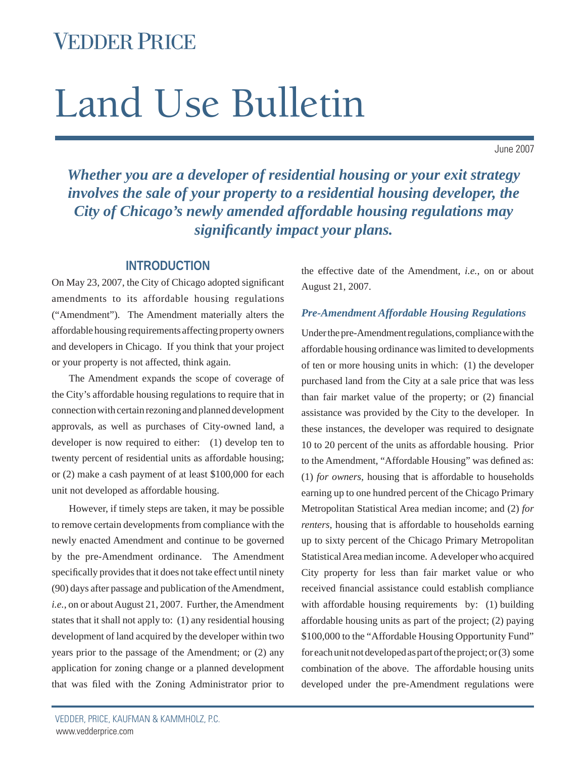## VEDDER PRICE

# Land Use Bulletin

June 2007

*Whether you are a developer of residential housing or your exit strategy involves the sale of your property to a residential housing developer, the City of Chicago's newly amended affordable housing regulations may signifi cantly impact your plans.*

#### **INTRODUCTION**

On May 23, 2007, the City of Chicago adopted significant amendments to its affordable housing regulations ("Amendment"). The Amendment materially alters the affordable housing requirements affecting property owners and developers in Chicago. If you think that your project or your property is not affected, think again.

The Amendment expands the scope of coverage of the City's affordable housing regulations to require that in connection with certain rezoning and planned development approvals, as well as purchases of City-owned land, a developer is now required to either: (1) develop ten to twenty percent of residential units as affordable housing; or (2) make a cash payment of at least \$100,000 for each unit not developed as affordable housing.

However, if timely steps are taken, it may be possible to remove certain developments from compliance with the newly enacted Amendment and continue to be governed by the pre-Amendment ordinance. The Amendment specifically provides that it does not take effect until ninety (90) days after passage and publication of the Amendment, *i.e.*, on or about August 21, 2007. Further, the Amendment states that it shall not apply to: (1) any residential housing development of land acquired by the developer within two years prior to the passage of the Amendment; or (2) any application for zoning change or a planned development that was filed with the Zoning Administrator prior to

the effective date of the Amendment, *i.e.*, on or about August 21, 2007.

#### *Pre-Amendment Affordable Housing Regulations*

Under the pre-Amendment regulations, compliance with the affordable housing ordinance was limited to developments of ten or more housing units in which: (1) the developer purchased land from the City at a sale price that was less than fair market value of the property; or  $(2)$  financial assistance was provided by the City to the developer. In these instances, the developer was required to designate 10 to 20 percent of the units as affordable housing. Prior to the Amendment, "Affordable Housing" was defined as: (1) *for owners,* housing that is affordable to households earning up to one hundred percent of the Chicago Primary Metropolitan Statistical Area median income; and (2) *for renters,* housing that is affordable to households earning up to sixty percent of the Chicago Primary Metropolitan Statistical Area median income. A developer who acquired City property for less than fair market value or who received financial assistance could establish compliance with affordable housing requirements by: (1) building affordable housing units as part of the project; (2) paying \$100,000 to the "Affordable Housing Opportunity Fund" for each unit not developed as part of the project; or (3) some combination of the above. The affordable housing units developed under the pre-Amendment regulations were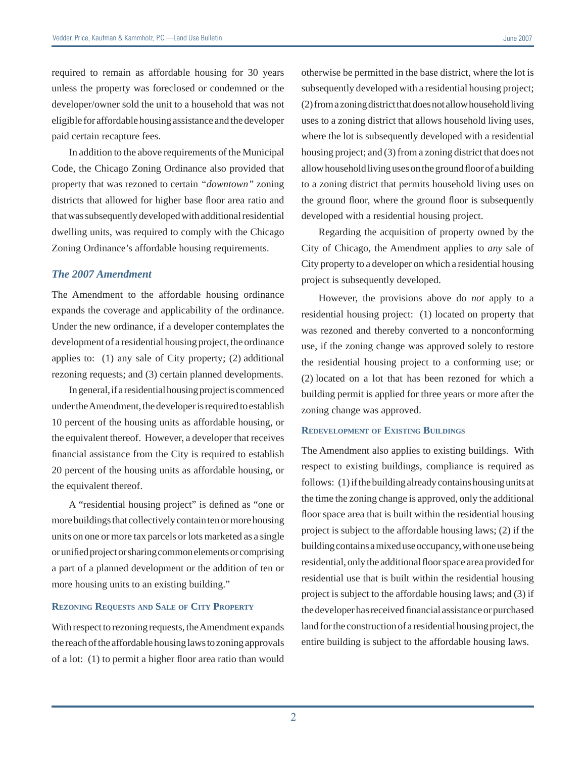required to remain as affordable housing for 30 years unless the property was foreclosed or condemned or the developer/owner sold the unit to a household that was not eligible for affordable housing assistance and the developer paid certain recapture fees.

In addition to the above requirements of the Municipal Code, the Chicago Zoning Ordinance also provided that property that was rezoned to certain *"downtown"* zoning districts that allowed for higher base floor area ratio and that was subsequently developed with additional residential dwelling units, was required to comply with the Chicago Zoning Ordinance's affordable housing requirements.

#### *The 2007 Amendment*

The Amendment to the affordable housing ordinance expands the coverage and applicability of the ordinance. Under the new ordinance, if a developer contemplates the development of a residential housing project, the ordinance applies to: (1) any sale of City property; (2) additional rezoning requests; and (3) certain planned developments.

In general, if a residential housing project is commenced under the Amendment, the developer is required to establish 10 percent of the housing units as affordable housing, or the equivalent thereof. However, a developer that receives financial assistance from the City is required to establish 20 percent of the housing units as affordable housing, or the equivalent thereof.

A "residential housing project" is defined as "one or more buildings that collectively contain ten or more housing units on one or more tax parcels or lots marketed as a single or unified project or sharing common elements or comprising a part of a planned development or the addition of ten or more housing units to an existing building."

#### **REZONING REQUESTS AND SALE OF CITY PROPERTY**

With respect to rezoning requests, the Amendment expands the reach of the affordable housing laws to zoning approvals of a lot:  $(1)$  to permit a higher floor area ratio than would otherwise be permitted in the base district, where the lot is subsequently developed with a residential housing project; (2) from a zoning district that does not allow household living uses to a zoning district that allows household living uses, where the lot is subsequently developed with a residential housing project; and (3) from a zoning district that does not allow household living uses on the ground floor of a building to a zoning district that permits household living uses on the ground floor, where the ground floor is subsequently developed with a residential housing project.

Regarding the acquisition of property owned by the City of Chicago, the Amendment applies to *any* sale of City property to a developer on which a residential housing project is subsequently developed.

However, the provisions above do *not* apply to a residential housing project: (1) located on property that was rezoned and thereby converted to a nonconforming use, if the zoning change was approved solely to restore the residential housing project to a conforming use; or (2) located on a lot that has been rezoned for which a building permit is applied for three years or more after the zoning change was approved.

#### **REDEVELOPMENT OF EXISTING BUILDINGS**

The Amendment also applies to existing buildings. With respect to existing buildings, compliance is required as follows: (1) if the building already contains housing units at the time the zoning change is approved, only the additional floor space area that is built within the residential housing project is subject to the affordable housing laws; (2) if the building contains a mixed use occupancy, with one use being residential, only the additional floor space area provided for residential use that is built within the residential housing project is subject to the affordable housing laws; and (3) if the developer has received financial assistance or purchased land for the construction of a residential housing project, the entire building is subject to the affordable housing laws.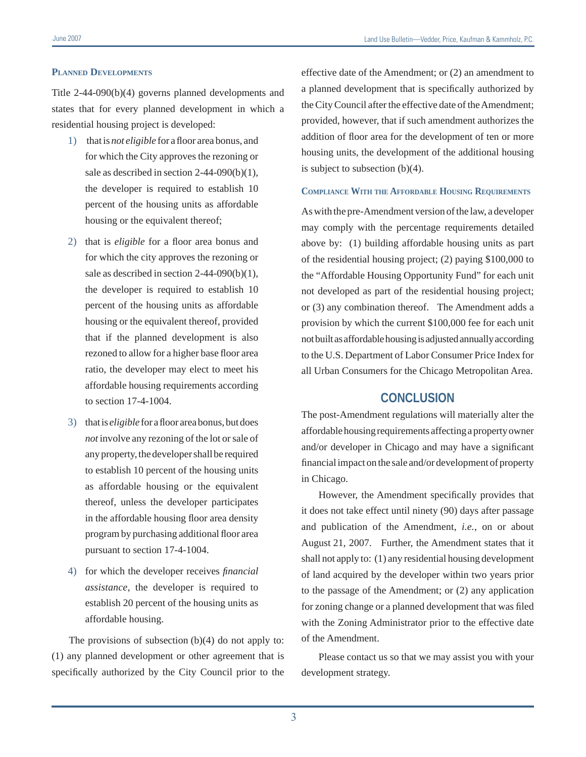#### **PLANNED DEVELOPMENTS**

Title 2-44-090(b)(4) governs planned developments and states that for every planned development in which a residential housing project is developed:

- 1) that is *not eligible* for a floor area bonus, and for which the City approves the rezoning or sale as described in section 2-44-090(b)(1), the developer is required to establish 10 percent of the housing units as affordable housing or the equivalent thereof;
- 2) that is *eligible* for a floor area bonus and for which the city approves the rezoning or sale as described in section 2-44-090(b)(1), the developer is required to establish 10 percent of the housing units as affordable housing or the equivalent thereof, provided that if the planned development is also rezoned to allow for a higher base floor area ratio, the developer may elect to meet his affordable housing requirements according to section 17-4-1004.
- 3) that is *eligible* for a floor area bonus, but does *not* involve any rezoning of the lot or sale of any property, the developer shall be required to establish 10 percent of the housing units as affordable housing or the equivalent thereof, unless the developer participates in the affordable housing floor area density program by purchasing additional floor area pursuant to section 17-4-1004.
- 4) for which the developer receives *financial assistance*, the developer is required to establish 20 percent of the housing units as affordable housing.

The provisions of subsection  $(b)(4)$  do not apply to: (1) any planned development or other agreement that is specifically authorized by the City Council prior to the effective date of the Amendment; or (2) an amendment to a planned development that is specifically authorized by the City Council after the effective date of the Amendment; provided, however, that if such amendment authorizes the addition of floor area for the development of ten or more housing units, the development of the additional housing is subject to subsection (b)(4).

#### **COMPLIANCE WITH THE AFFORDABLE HOUSING REQUIREMENTS**

As with the pre-Amendment version of the law, a developer may comply with the percentage requirements detailed above by: (1) building affordable housing units as part of the residential housing project; (2) paying \$100,000 to the "Affordable Housing Opportunity Fund" for each unit not developed as part of the residential housing project; or (3) any combination thereof. The Amendment adds a provision by which the current \$100,000 fee for each unit not built as affordable housing is adjusted annually according to the U.S. Department of Labor Consumer Price Index for all Urban Consumers for the Chicago Metropolitan Area.

#### **CONCLUSION**

The post-Amendment regulations will materially alter the affordable housing requirements affecting a property owner and/or developer in Chicago and may have a significant financial impact on the sale and/or development of property in Chicago.

However, the Amendment specifically provides that it does not take effect until ninety (90) days after passage and publication of the Amendment, *i.e.*, on or about August 21, 2007. Further, the Amendment states that it shall not apply to: (1) any residential housing development of land acquired by the developer within two years prior to the passage of the Amendment; or (2) any application for zoning change or a planned development that was filed with the Zoning Administrator prior to the effective date of the Amendment.

Please contact us so that we may assist you with your development strategy.